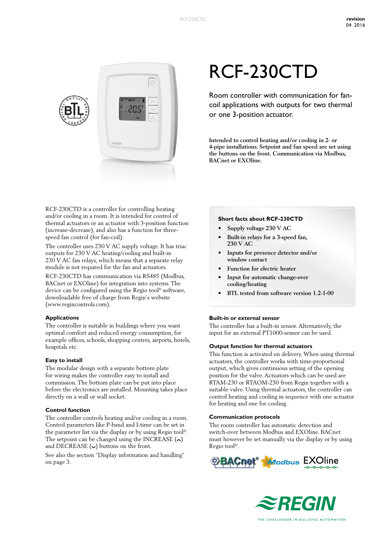

RCF-230CTD is a controller for controlling heating and/or cooling in a room. It is intended for control of thermal actuators or an actuator with 3-position function (increase-decrease), and also has a function for threespeed fan control (for fan-coil).

The controller uses 230 V AC supply voltage. It has triac outputs for 230 V AC heating/cooling and built-in 230 V AC fan relays, which means that a separate relay module is not required for the fan and actuators.

RCF-230CTD has communication via RS485 (Modbus, BACnet or EXOline) for integration into systems. The device can be configured using the Regio tool<sup>®</sup> software, downloadable free of charge from Regin's website (www.regincontrols.com).

#### **Applications**

The controller is suitable in buildings where you want optimal comfort and reduced energy consumption, for example offices, schools, shopping centres, airports, hotels, hospitals etc.

#### **Easy to install**

The modular design with a separate bottom plate for wiring makes the controller easy to install and commission. The bottom plate can be put into place before the electronics are installed. Mounting takes place directly on a wall or wall socket.

#### **Control function**

The controller controls heating and/or cooling in a room. Control parameters like P-band and I-time can be set in the parameter list via the display or by using Regio tool©. The setpoint can be changed using the INCREASE  $(\sim)$ and DECREASE  $(\sim)$  buttons on the front.

See also the section "Display information and handling" on page 3.

# RCF-230CTD

Room controller with communication for fancoil applications with outputs for two thermal or one 3-position actuator.

**Intended to control heating and/or cooling in 2- or 4-pipe installations. Setpoint and fan speed are set using the buttons on the front. Communication via Modbus, BACnet or EXOline.**

#### **Short facts about RCF-230CTD**

- **• Supply voltage 230 V AC**
- **• Built-in relays for a 3-speed fan, 230 V AC**
- **• Inputs for presence detector and/or window contact**
- **• Function for electric heater**
- **• Input for automatic change-over cooling/heating**
- **• BTL tested from software version 1.2-1-00**

#### **Built-in or external sensor**

The controller has a built-in sensor. Alternatively, the input for an external PT1000-sensor can be used.

#### **Output function for thermal actuators**

This function is activated on delivery. When using thermal actuators, the controller works with time-proportional output, which gives continuous setting of the opening position for the valve. Actuators which can be used are RTAM-230 or RTAOM-230 from Regin together with a suitable valve. Using thermal actuators, the controller can control heating and cooling in sequence with one actuator for heating and one for cooling.

#### **Communication protocols**

The room controller has automatic detection and switch-over between Modbus and EXOline. BACnet must however be set manually via the display or by using Regio tool©.



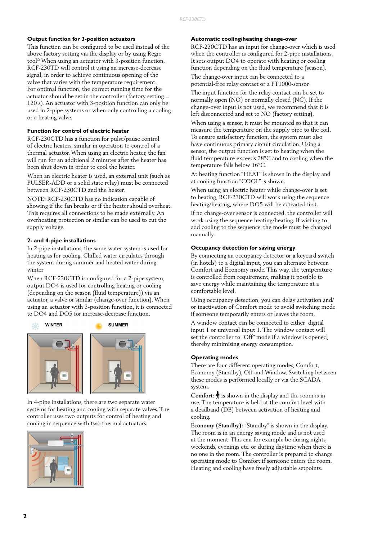#### **Output function for 3-position actuators**

This function can be configured to be used instead of the above factory setting via the display or by using Regio tool© When using an actuator with 3-position function, RCF-230TD will control it using an increase-decrease signal, in order to achieve continuous opening of the valve that varies with the temperature requirement. For optimal function, the correct running time for the actuator should be set in the controller (factory setting = 120 s). An actuator with 3-position function can only be used in 2-pipe systems or when only controlling a cooling or a heating valve.

#### **Function for control of electric heater**

RCF-230CTD has a function for pulse/pause control of electric heaters, similar in operation to control of a thermal actuator. When using an electric heater, the fan will run for an additional 2 minutes after the heater has been shut down in order to cool the heater.

When an electric heater is used, an external unit (such as PULSER-ADD or a solid state relay) must be connected between RCF-230CTD and the heater.

NOTE: RCF-230CTD has no indication capable of showing if the fan breaks or if the heater should overheat. This requires all connections to be made externally. An overheating protection or similar can be used to cut the supply voltage.

#### **2- and 4-pipe installations**

In 2-pipe installations, the same water system is used for heating as for cooling. Chilled water circulates through the system during summer and heated water during winter

When RCF-230CTD is configured for a 2-pipe system, output DO4 is used for controlling heating or cooling (depending on the season (fluid temperature)) via an actuator, a valve or similar (change-over function). When using an actuator with 3-position function, it is connected to DO4 and DO5 for increase-decrease function.



In 4-pipe installations, there are two separate water systems for heating and cooling with separate valves. The controller uses two outputs for control of heating and cooling in sequence with two thermal actuators.



#### **Automatic cooling/heating change-over**

RCF-230CTD has an input for change-over which is used when the controller is configured for 2-pipe installations. It sets output DO4 to operate with heating or cooling function depending on the fluid temperature (season).

The change-over input can be connected to a potential-free relay contact or a PT1000-sensor.

The input function for the relay contact can be set to normally open (NO) or normally closed (NC). If the change-over input is not used, we recommend that it is left disconnected and set to NO (factory setting).

When using a sensor, it must be mounted so that it can measure the temperature on the supply pipe to the coil. To ensure satisfactory function, the system must also have continuous primary circuit circulation. Using a sensor, the output function is set to heating when the fluid temperature exceeds 28°C and to cooling when the temperature falls below 16°C.

At heating function "HEAT" is shown in the display and at cooling function "COOL" is shown.

When using an electric heater while change-over is set to heating, RCF-230CTD will work using the sequence heating/heating, where DO5 will be activated first.

If no change-over sensor is connected, the controller will work using the sequence heating/heating. If wishing to add cooling to the sequence, the mode must be changed manually.

#### **Occupancy detection for saving energy**

By connecting an occupancy detector or a keycard switch (in hotels) to a digital input, you can alternate between Comfort and Economy mode. This way, the temperature is controlled from requirement, making it possible to save energy while maintaining the temperature at a comfortable level.

Using occupancy detection, you can delay activation and/ or inactivation of Comfort mode to avoid switching mode if someone temporarily enters or leaves the room.

A window contact can be connected to either digital input 1 or universal input 1. The window contact will set the controller to "Off" mode if a window is opened, thereby minimising energy consumption.

#### **Operating modes**

There are four different operating modes, Comfort, Economy (Standby), Off and Window. Switching between these modes is performed locally or via the SCADA system.

**Comfort:**  $\bigstar$  is shown in the display and the room is in use. The temperature is held at the comfort level with a deadband (DB) between activation of heating and cooling.

**Economy (Standby):** "Standby" is shown in the display. The room is in an energy saving mode and is not used at the moment. This can for example be during nights, weekends, evenings etc. or during daytime when there is no one in the room. The controller is prepared to change operating mode to Comfort if someone enters the room. Heating and cooling have freely adjustable setpoints.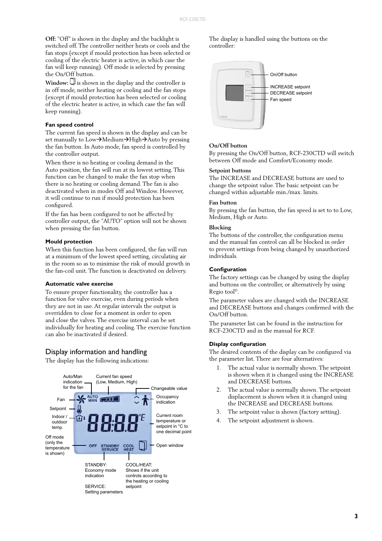**Off:** "Off" is shown in the display and the backlight is switched off. The controller neither heats or cools and the fan stops (except if mould protection has been selected or cooling of the electric heater is active, in which case the fan will keep running). Off mode is selected by pressing the On/Off button.

 $Window:$  $\Box$  is shown in the display and the controller is in off mode, neither heating or cooling and the fan stops (except if mould protection has been selected or cooling of the electric heater is active, in which case the fan will keep running).

#### **Fan speed control**

The current fan speed is shown in the display and can be set manually to  $Low\rightarrow Medium\rightarrow High\rightarrow Auto$  by pressing the fan button. In Auto mode, fan speed is controlled by the controller output.

When there is no heating or cooling demand in the Auto position, the fan will run at its lowest setting. This function can be changed to make the fan stop when there is no heating or cooling demand. The fan is also deactivated when in modes Off and Window. However, it will continue to run if mould protection has been configured.

If the fan has been configured to not be affected by controller output, the "AUTO" option will not be shown when pressing the fan button.

#### **Mould protection**

When this function has been configured, the fan will run at a minimum of the lowest speed setting, circulating air in the room so as to minimise the risk of mould growth in the fan-coil unit. The function is deactivated on delivery.

#### **Automatic valve exercise**

To ensure proper functionality, the controller has a function for valve exercise, even during periods when they are not in use. At regular intervals the output is overridden to close for a moment in order to open and close the valves. The exercise interval can be set individually for heating and cooling. The exercise function can also be inactivated if desired.

#### Display information and handling

The display has the following indications:



The display is handled using the buttons on the controller:



#### **On/Off button**

By pressing the On/Off button, RCF-230CTD will switch between Off mode and Comfort/Economy mode.

#### **Setpoint buttons**

The INCREASE and DECREASE buttons are used to change the setpoint value. The basic setpoint can be changed within adjustable min./max. limits.

#### **Fan button**

By pressing the fan button, the fan speed is set to to Low, Medium, High or Auto.

#### **Blocking**

The buttons of the controller, the configuration menu and the manual fan control can all be blocked in order to prevent settings from being changed by unauthorized individuals.

#### **Configuration**

The factory settings can be changed by using the display and buttons on the controller, or alternatively by using Regio tool©.

The parameter values are changed with the INCREASE and DECREASE buttons and changes confirmed with the On/Off button.

The parameter list can be found in the instruction for RCF-230CTD and in the manual for RCF.

#### **Display configuration**

The desired contents of the display can be configured via the parameter list. There are four alternatives:

- 1. The actual value is normally shown. The setpoint is shown when it is changed using the INCREASE and DECREASE buttons.
- 2. The actual value is normally shown. The setpoint displacement is shown when it is changed using the INCREASE and DECREASE buttons.
- 3. The setpoint value is shown (factory setting).
- 4. The setpoint adjustment is shown.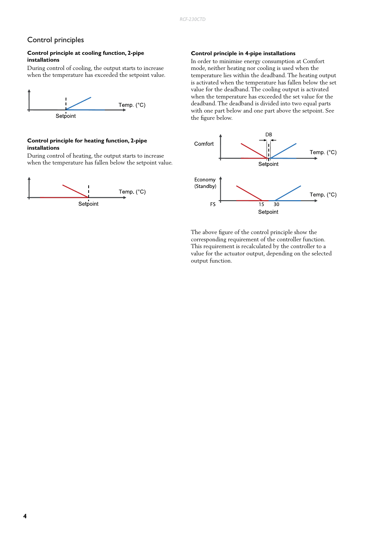# Control principles

#### **Control principle at cooling function, 2-pipe installations**

During control of cooling, the output starts to increase when the temperature has exceeded the setpoint value.



#### **Control principle for heating function, 2-pipe installations**

During control of heating, the output starts to increase when the temperature has fallen below the setpoint value.



#### **Control principle in 4-pipe installations**

In order to minimise energy consumption at Comfort mode, neither heating nor cooling is used when the temperature lies within the deadband. The heating output is activated when the temperature has fallen below the set value for the deadband. The cooling output is activated when the temperature has exceeded the set value for the deadband. The deadband is divided into two equal parts with one part below and one part above the setpoint. See the figure below.



The above figure of the control principle show the corresponding requirement of the controller function. This requirement is recalculated by the controller to a value for the actuator output, depending on the selected output function.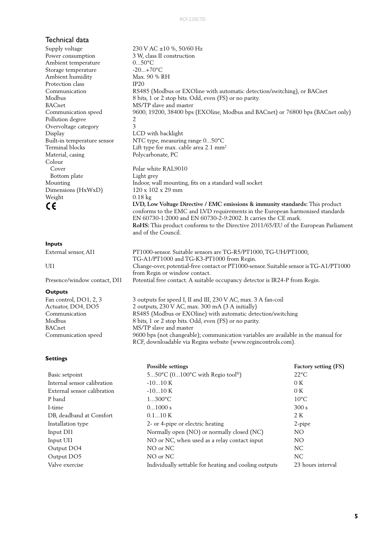### Technical data

Supply voltage  $230 \text{ V AC } \pm 10 \%$ , 50/60 Hz Power consumption 3 W, class II construction<br>Ambient temperature 0...50°C Ambient temperature Storage temperature -20...+70°C Ambient humidity Max. 90 % RH Protection class IP20 Communication RS485 (Modbus or EXOline with automatic detection/switching), or BACnet Modbus 8 bits, 1 or 2 stop bits. Odd, even (FS) or no parity. BACnet MS/TP slave and master Communication speed 9600, 19200, 38400 bps (EXOline, Modbus and BACnet) or 76800 bps (BACnet only) Pollution degree 2 Overvoltage category 3 Display LCD with backlight Built-in temperature sensor NTC type, measuring range 0...50°C Terminal blocks Lift type for max. cable area 2.1 mm<sup>2</sup> Material, casing Polycarbonate, PC Colour Cover Polar white RAL9010 Bottom plate Light grey Mounting Indoor, wall mounting, fits on a standard wall socket Dimensions (HxWxD) 120 x 102 x 29 mm Weight 0.18 kg **LVD, Low Voltage Directive / EMC emissions & immunity standards:** This product

#### **Inputs**

External sensor, AI1 PT1000-sensor. Suitable sensors are TG-R5/PT1000, TG-UH/PT1000, TG-A1/PT1000 and TG-K3-PT1000 from Regin. UI1 Change-over, potential-free contact or PT1000-sensor. Suitable sensor is TG-A1/PT1000 from Regin or window contact. Presence/window contact, DI1 Potential free contact. A suitable occupancy detector is IR24-P from Regin.

and of the Council.

conforms to the EMC and LVD requirements in the European harmonised standards

**RoHS:** This product conforms to the Directive 2011/65/EU of the European Parliament

EN 60730-1:2000 and EN 60730-2-9:2002. It carries the CE mark.

#### **Outputs**

Fan control, DO1, 2, 3 3 outputs for speed I, II and III, 230 V AC, max. 3 A fan-coil Actuator, DO4, DO5 2 outputs, 230 V AC, max. 300 mA (3 A initially) Communication RS485 (Modbus or EXOline) with automatic detection/switching Modbus 8 bits, 1 or 2 stop bits. Odd, even (FS) or no parity. BACnet MS/TP slave and master Communication speed 9600 bps (not changeable); communication variables are available in the manual for RCF, downloadable via Regins website (www.regincontrols.com).

#### **Settings**

|                                                                         | Possible settings                            | Factory setting (FS) |  |
|-------------------------------------------------------------------------|----------------------------------------------|----------------------|--|
| Basic setpoint                                                          | 550°C (0100°C with Regio tool <sup>®</sup> ) | $22^{\circ}$ C       |  |
| Internal sensor calibration                                             | $-1010K$                                     |                      |  |
| External sensor calibration                                             | $-1010K$                                     | 0K                   |  |
| P band<br>$1300^{\circ}C$                                               |                                              | $10^{\circ}$ C       |  |
| I-time                                                                  | 01000 s                                      | 300 s                |  |
| DB, deadband at Comfort                                                 | 0.110K                                       |                      |  |
| Installation type                                                       | 2- or 4-pipe or electric heating             |                      |  |
| Input DI1                                                               | Normally open (NO) or normally closed (NC)   |                      |  |
| NO or NC, when used as a relay contact input<br>Input UI1               |                                              | NO.                  |  |
| Output DO4<br>NO or NC                                                  |                                              | NC.                  |  |
| Output DO5                                                              | NO or NC                                     | NC.                  |  |
| Valve exercise<br>Individually settable for heating and cooling outputs |                                              | 23 hours interval    |  |
|                                                                         |                                              |                      |  |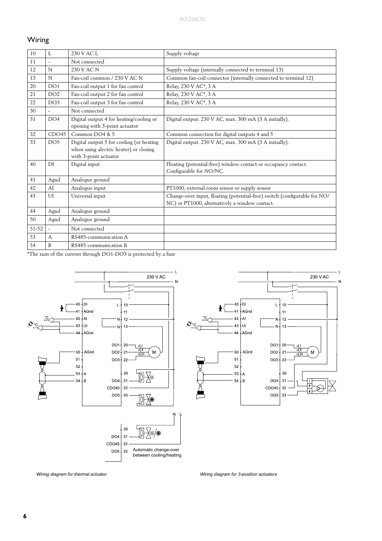# Wiring

| $10\,$ | L               | 230 V AC L                                                                                                  | Supply voltage                                                                                                              |
|--------|-----------------|-------------------------------------------------------------------------------------------------------------|-----------------------------------------------------------------------------------------------------------------------------|
| 11     |                 | Not connected                                                                                               |                                                                                                                             |
| 12     | N               | 230 V AC N                                                                                                  | Supply voltage (internally connected to terminal 13)                                                                        |
| 13     | N               | Fan-coil common / 230 V AC N                                                                                | Common fan-coil connector (internally connected to terminal 12)                                                             |
| 20     | DO1             | Fan-coil output 1 for fan control                                                                           | Relay, 230 V AC*, 3 A                                                                                                       |
| 21     | DO <sub>2</sub> | Fan-coil output 2 for fan control                                                                           | Relay, 230 V AC*, 3 A                                                                                                       |
| 22     | DO3             | Fan-coil output 3 for fan control                                                                           | Relay, 230 V AC*, 3 A                                                                                                       |
| 30     |                 | Not connected                                                                                               |                                                                                                                             |
| 31     | DO4             | Digital output 4 for heating/cooling or<br>opening with 3-point actuator                                    | Digital output. 230 V AC, max. 300 mA (3 A initially).                                                                      |
| 32     | CDO45           | Common $DO4$ & 5                                                                                            | Common connection for digital outputs 4 and 5                                                                               |
| 33     | DO <sub>5</sub> | Digital output 5 for cooling (or heating<br>when using alectric heater) or closing<br>with 3-point actuator | Digital output. 230 V AC, max. 300 mA (3 A initially).                                                                      |
| 40     | DI              | Digital input                                                                                               | Floating (potential-free) window contact or occupancy contact.<br>Configurable for NO/NC.                                   |
| 41     | Agnd            | Analogue ground                                                                                             |                                                                                                                             |
| 42     | AI              | Analogue input                                                                                              | PT1000, external room sensor or supply sensor                                                                               |
| 43     | UI              | Universal input                                                                                             | Change-over input, floating (potential-free) switch (configurable for NO/<br>NC) or PT1000, alternatively a window contact. |
| 44     | Agnd            | Analogue ground                                                                                             |                                                                                                                             |
| 50     | Agnd            | Analogue ground                                                                                             |                                                                                                                             |
| 51-52  |                 | Not connected                                                                                               |                                                                                                                             |
| 53     | A               | RS485-communication A                                                                                       |                                                                                                                             |
| 54     | B               | RS485 communication B                                                                                       |                                                                                                                             |

\*The sum of the current through DO1-DO3 is protected by a fuse



*Wiring diagram for thermal actuator Wiring diagram for 3-position actuators*